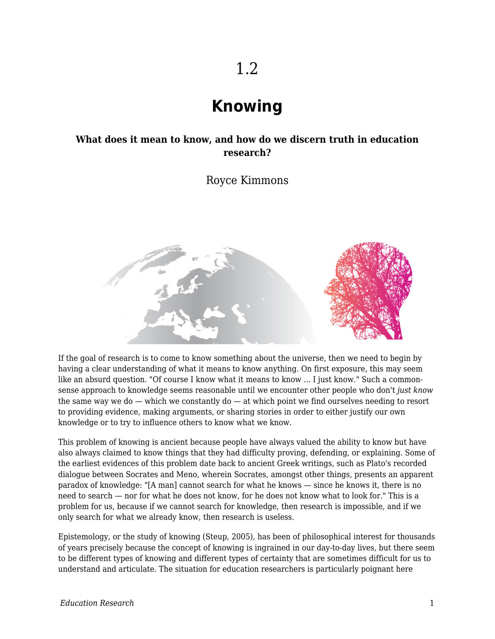# **Knowing**

### **What does it mean to know, and how do we discern truth in education research?**

Royce Kimmons



If the goal of research is to come to know something about the universe, then we need to begin by having a clear understanding of what it means to know anything. On first exposure, this may seem like an absurd question. "Of course I know what it means to know ... I just know." Such a commonsense approach to knowledge seems reasonable until we encounter other people who don't *just know* the same way we do  $-$  which we constantly do  $-$  at which point we find ourselves needing to resort to providing evidence, making arguments, or sharing stories in order to either justify our own knowledge or to try to influence others to know what we know.

This problem of knowing is ancient because people have always valued the ability to know but have also always claimed to know things that they had difficulty proving, defending, or explaining. Some of the earliest evidences of this problem date back to ancient Greek writings, such as Plato's recorded dialogue between Socrates and Meno, wherein Socrates, amongst other things, presents an apparent paradox of knowledge: "[A man] cannot search for what he knows — since he knows it, there is no need to search — nor for what he does not know, for he does not know what to look for." This is a problem for us, because if we cannot search for knowledge, then research is impossible, and if we only search for what we already know, then research is useless.

Epistemology, or the study of knowing (Steup, 2005), has been of philosophical interest for thousands of years precisely because the concept of knowing is ingrained in our day-to-day lives, but there seem to be different types of knowing and different types of certainty that are sometimes difficult for us to understand and articulate. The situation for education researchers is particularly poignant here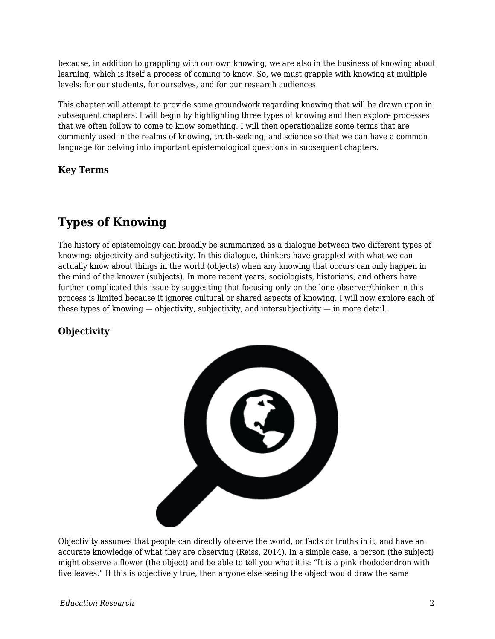because, in addition to grappling with our own knowing, we are also in the business of knowing about learning, which is itself a process of coming to know. So, we must grapple with knowing at multiple levels: for our students, for ourselves, and for our research audiences.

This chapter will attempt to provide some groundwork regarding knowing that will be drawn upon in subsequent chapters. I will begin by highlighting three types of knowing and then explore processes that we often follow to come to know something. I will then operationalize some terms that are commonly used in the realms of knowing, truth-seeking, and science so that we can have a common language for delving into important epistemological questions in subsequent chapters.

**Key Terms**

# **Types of Knowing**

The history of epistemology can broadly be summarized as a dialogue between two different types of knowing: objectivity and subjectivity. In this dialogue, thinkers have grappled with what we can actually know about things in the world (objects) when any knowing that occurs can only happen in the mind of the knower (subjects). In more recent years, sociologists, historians, and others have further complicated this issue by suggesting that focusing only on the lone observer/thinker in this process is limited because it ignores cultural or shared aspects of knowing. I will now explore each of these types of knowing  $-$  objectivity, subjectivity, and intersubjectivity  $-$  in more detail.

## **Objectivity**



Objectivity assumes that people can directly observe the world, or facts or truths in it, and have an accurate knowledge of what they are observing (Reiss, 2014). In a simple case, a person (the subject) might observe a flower (the object) and be able to tell you what it is: "It is a pink rhododendron with five leaves." If this is objectively true, then anyone else seeing the object would draw the same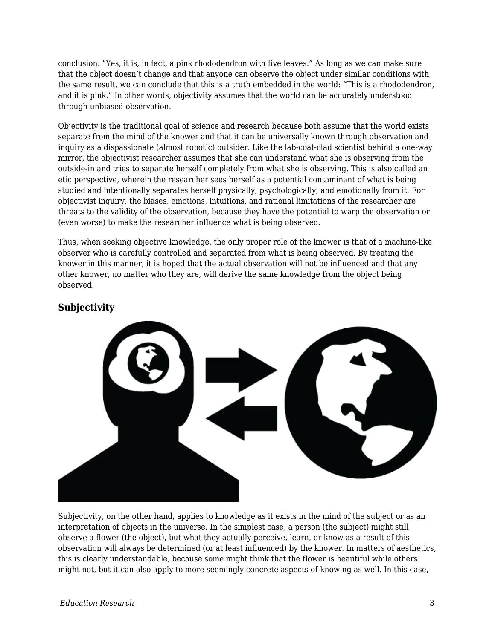conclusion: "Yes, it is, in fact, a pink rhododendron with five leaves." As long as we can make sure that the object doesn't change and that anyone can observe the object under similar conditions with the same result, we can conclude that this is a truth embedded in the world: "This is a rhododendron, and it is pink." In other words, objectivity assumes that the world can be accurately understood through unbiased observation.

Objectivity is the traditional goal of science and research because both assume that the world exists separate from the mind of the knower and that it can be universally known through observation and inquiry as a dispassionate (almost robotic) outsider. Like the lab-coat-clad scientist behind a one-way mirror, the objectivist researcher assumes that she can understand what she is observing from the outside-in and tries to separate herself completely from what she is observing. This is also called an etic perspective, wherein the researcher sees herself as a potential contaminant of what is being studied and intentionally separates herself physically, psychologically, and emotionally from it. For objectivist inquiry, the biases, emotions, intuitions, and rational limitations of the researcher are threats to the validity of the observation, because they have the potential to warp the observation or (even worse) to make the researcher influence what is being observed.

Thus, when seeking objective knowledge, the only proper role of the knower is that of a machine-like observer who is carefully controlled and separated from what is being observed. By treating the knower in this manner, it is hoped that the actual observation will not be influenced and that any other knower, no matter who they are, will derive the same knowledge from the object being observed.

#### **Subjectivity**



Subjectivity, on the other hand, applies to knowledge as it exists in the mind of the subject or as an interpretation of objects in the universe. In the simplest case, a person (the subject) might still observe a flower (the object), but what they actually perceive, learn, or know as a result of this observation will always be determined (or at least influenced) by the knower. In matters of aesthetics, this is clearly understandable, because some might think that the flower is beautiful while others might not, but it can also apply to more seemingly concrete aspects of knowing as well. In this case,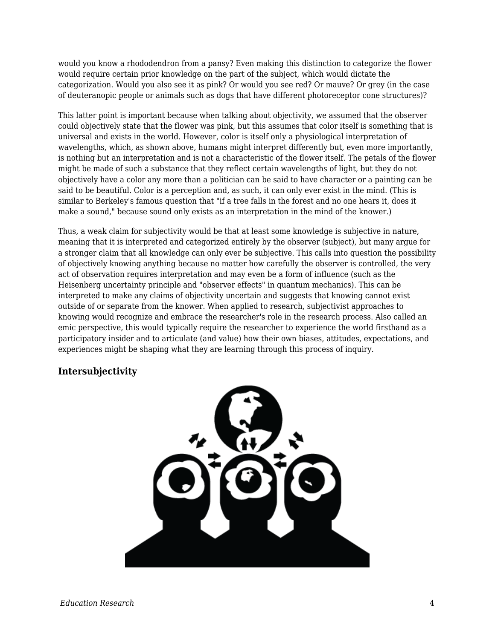would you know a rhododendron from a pansy? Even making this distinction to categorize the flower would require certain prior knowledge on the part of the subject, which would dictate the categorization. Would you also see it as pink? Or would you see red? Or mauve? Or grey (in the case of deuteranopic people or animals such as dogs that have different photoreceptor cone structures)?

This latter point is important because when talking about objectivity, we assumed that the observer could objectively state that the flower was pink, but this assumes that color itself is something that is universal and exists in the world. However, color is itself only a physiological interpretation of wavelengths, which, as shown above, humans might interpret differently but, even more importantly, is nothing but an interpretation and is not a characteristic of the flower itself. The petals of the flower might be made of such a substance that they reflect certain wavelengths of light, but they do not objectively have a color any more than a politician can be said to have character or a painting can be said to be beautiful. Color is a perception and, as such, it can only ever exist in the mind. (This is similar to Berkeley's famous question that "if a tree falls in the forest and no one hears it, does it make a sound," because sound only exists as an interpretation in the mind of the knower.)

Thus, a weak claim for subjectivity would be that at least some knowledge is subjective in nature, meaning that it is interpreted and categorized entirely by the observer (subject), but many argue for a stronger claim that all knowledge can only ever be subjective. This calls into question the possibility of objectively knowing anything because no matter how carefully the observer is controlled, the very act of observation requires interpretation and may even be a form of influence (such as the Heisenberg uncertainty principle and "observer effects" in quantum mechanics). This can be interpreted to make any claims of objectivity uncertain and suggests that knowing cannot exist outside of or separate from the knower. When applied to research, subjectivist approaches to knowing would recognize and embrace the researcher's role in the research process. Also called an emic perspective, this would typically require the researcher to experience the world firsthand as a participatory insider and to articulate (and value) how their own biases, attitudes, expectations, and experiences might be shaping what they are learning through this process of inquiry.

#### **Intersubjectivity**

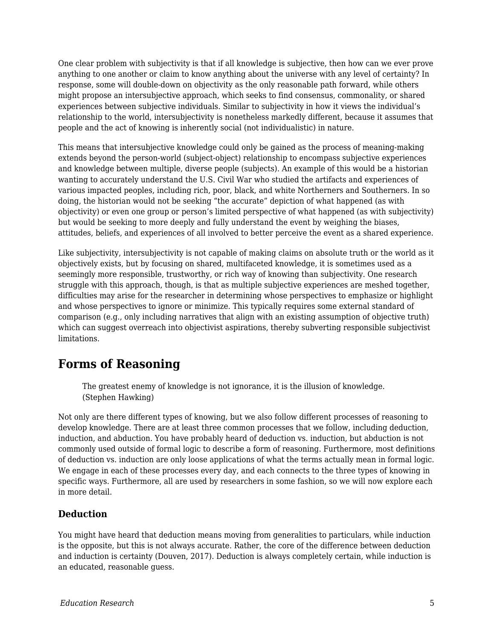One clear problem with subjectivity is that if all knowledge is subjective, then how can we ever prove anything to one another or claim to know anything about the universe with any level of certainty? In response, some will double-down on objectivity as the only reasonable path forward, while others might propose an intersubjective approach, which seeks to find consensus, commonality, or shared experiences between subjective individuals. Similar to subjectivity in how it views the individual's relationship to the world, intersubjectivity is nonetheless markedly different, because it assumes that people and the act of knowing is inherently social (not individualistic) in nature.

This means that intersubjective knowledge could only be gained as the process of meaning-making extends beyond the person-world (subject-object) relationship to encompass subjective experiences and knowledge between multiple, diverse people (subjects). An example of this would be a historian wanting to accurately understand the U.S. Civil War who studied the artifacts and experiences of various impacted peoples, including rich, poor, black, and white Northerners and Southerners. In so doing, the historian would not be seeking "the accurate" depiction of what happened (as with objectivity) or even one group or person's limited perspective of what happened (as with subjectivity) but would be seeking to more deeply and fully understand the event by weighing the biases, attitudes, beliefs, and experiences of all involved to better perceive the event as a shared experience.

Like subjectivity, intersubjectivity is not capable of making claims on absolute truth or the world as it objectively exists, but by focusing on shared, multifaceted knowledge, it is sometimes used as a seemingly more responsible, trustworthy, or rich way of knowing than subjectivity. One research struggle with this approach, though, is that as multiple subjective experiences are meshed together, difficulties may arise for the researcher in determining whose perspectives to emphasize or highlight and whose perspectives to ignore or minimize. This typically requires some external standard of comparison (e.g., only including narratives that align with an existing assumption of objective truth) which can suggest overreach into objectivist aspirations, thereby subverting responsible subjectivist limitations.

# **Forms of Reasoning**

The greatest enemy of knowledge is not ignorance, it is the illusion of knowledge. (Stephen Hawking)

Not only are there different types of knowing, but we also follow different processes of reasoning to develop knowledge. There are at least three common processes that we follow, including deduction, induction, and abduction. You have probably heard of deduction vs. induction, but abduction is not commonly used outside of formal logic to describe a form of reasoning. Furthermore, most definitions of deduction vs. induction are only loose applications of what the terms actually mean in formal logic. We engage in each of these processes every day, and each connects to the three types of knowing in specific ways. Furthermore, all are used by researchers in some fashion, so we will now explore each in more detail.

## **Deduction**

You might have heard that deduction means moving from generalities to particulars, while induction is the opposite, but this is not always accurate. Rather, the core of the difference between deduction and induction is certainty (Douven, 2017). Deduction is always completely certain, while induction is an educated, reasonable guess.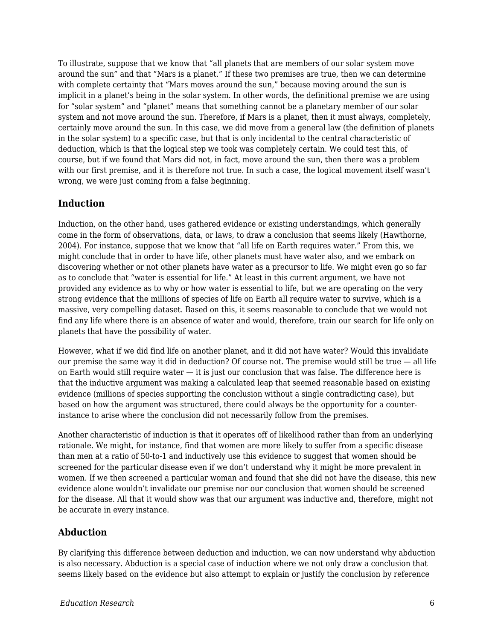To illustrate, suppose that we know that "all planets that are members of our solar system move around the sun" and that "Mars is a planet." If these two premises are true, then we can determine with complete certainty that "Mars moves around the sun," because moving around the sun is implicit in a planet's being in the solar system. In other words, the definitional premise we are using for "solar system" and "planet" means that something cannot be a planetary member of our solar system and not move around the sun. Therefore, if Mars is a planet, then it must always, completely, certainly move around the sun. In this case, we did move from a general law (the definition of planets in the solar system) to a specific case, but that is only incidental to the central characteristic of deduction, which is that the logical step we took was completely certain. We could test this, of course, but if we found that Mars did not, in fact, move around the sun, then there was a problem with our first premise, and it is therefore not true. In such a case, the logical movement itself wasn't wrong, we were just coming from a false beginning.

#### **Induction**

Induction, on the other hand, uses gathered evidence or existing understandings, which generally come in the form of observations, data, or laws, to draw a conclusion that seems likely (Hawthorne, 2004). For instance, suppose that we know that "all life on Earth requires water." From this, we might conclude that in order to have life, other planets must have water also, and we embark on discovering whether or not other planets have water as a precursor to life. We might even go so far as to conclude that "water is essential for life." At least in this current argument, we have not provided any evidence as to why or how water is essential to life, but we are operating on the very strong evidence that the millions of species of life on Earth all require water to survive, which is a massive, very compelling dataset. Based on this, it seems reasonable to conclude that we would not find any life where there is an absence of water and would, therefore, train our search for life only on planets that have the possibility of water.

However, what if we did find life on another planet, and it did not have water? Would this invalidate our premise the same way it did in deduction? Of course not. The premise would still be true — all life on Earth would still require water — it is just our conclusion that was false. The difference here is that the inductive argument was making a calculated leap that seemed reasonable based on existing evidence (millions of species supporting the conclusion without a single contradicting case), but based on how the argument was structured, there could always be the opportunity for a counterinstance to arise where the conclusion did not necessarily follow from the premises.

Another characteristic of induction is that it operates off of likelihood rather than from an underlying rationale. We might, for instance, find that women are more likely to suffer from a specific disease than men at a ratio of 50-to-1 and inductively use this evidence to suggest that women should be screened for the particular disease even if we don't understand why it might be more prevalent in women. If we then screened a particular woman and found that she did not have the disease, this new evidence alone wouldn't invalidate our premise nor our conclusion that women should be screened for the disease. All that it would show was that our argument was inductive and, therefore, might not be accurate in every instance.

#### **Abduction**

By clarifying this difference between deduction and induction, we can now understand why abduction is also necessary. Abduction is a special case of induction where we not only draw a conclusion that seems likely based on the evidence but also attempt to explain or justify the conclusion by reference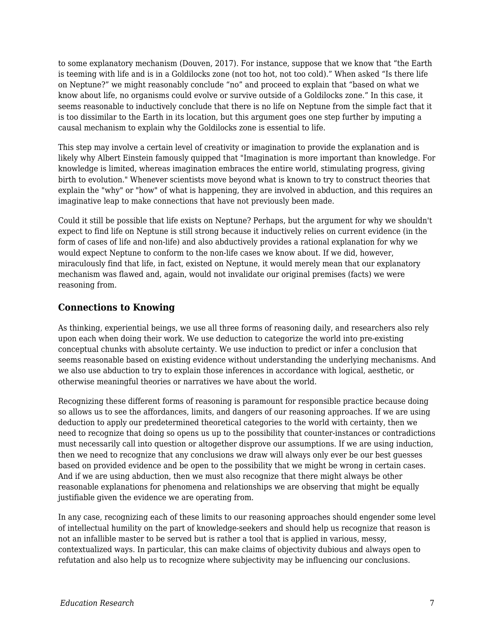to some explanatory mechanism (Douven, 2017). For instance, suppose that we know that "the Earth is teeming with life and is in a Goldilocks zone (not too hot, not too cold)." When asked "Is there life on Neptune?" we might reasonably conclude "no" and proceed to explain that "based on what we know about life, no organisms could evolve or survive outside of a Goldilocks zone." In this case, it seems reasonable to inductively conclude that there is no life on Neptune from the simple fact that it is too dissimilar to the Earth in its location, but this argument goes one step further by imputing a causal mechanism to explain why the Goldilocks zone is essential to life.

This step may involve a certain level of creativity or imagination to provide the explanation and is likely why Albert Einstein famously quipped that "Imagination is more important than knowledge. For knowledge is limited, whereas imagination embraces the entire world, stimulating progress, giving birth to evolution." Whenever scientists move beyond what is known to try to construct theories that explain the "why" or "how" of what is happening, they are involved in abduction, and this requires an imaginative leap to make connections that have not previously been made.

Could it still be possible that life exists on Neptune? Perhaps, but the argument for why we shouldn't expect to find life on Neptune is still strong because it inductively relies on current evidence (in the form of cases of life and non-life) and also abductively provides a rational explanation for why we would expect Neptune to conform to the non-life cases we know about. If we did, however, miraculously find that life, in fact, existed on Neptune, it would merely mean that our explanatory mechanism was flawed and, again, would not invalidate our original premises (facts) we were reasoning from.

#### **Connections to Knowing**

As thinking, experiential beings, we use all three forms of reasoning daily, and researchers also rely upon each when doing their work. We use deduction to categorize the world into pre-existing conceptual chunks with absolute certainty. We use induction to predict or infer a conclusion that seems reasonable based on existing evidence without understanding the underlying mechanisms. And we also use abduction to try to explain those inferences in accordance with logical, aesthetic, or otherwise meaningful theories or narratives we have about the world.

Recognizing these different forms of reasoning is paramount for responsible practice because doing so allows us to see the affordances, limits, and dangers of our reasoning approaches. If we are using deduction to apply our predetermined theoretical categories to the world with certainty, then we need to recognize that doing so opens us up to the possibility that counter-instances or contradictions must necessarily call into question or altogether disprove our assumptions. If we are using induction, then we need to recognize that any conclusions we draw will always only ever be our best guesses based on provided evidence and be open to the possibility that we might be wrong in certain cases. And if we are using abduction, then we must also recognize that there might always be other reasonable explanations for phenomena and relationships we are observing that might be equally justifiable given the evidence we are operating from.

In any case, recognizing each of these limits to our reasoning approaches should engender some level of intellectual humility on the part of knowledge-seekers and should help us recognize that reason is not an infallible master to be served but is rather a tool that is applied in various, messy, contextualized ways. In particular, this can make claims of objectivity dubious and always open to refutation and also help us to recognize where subjectivity may be influencing our conclusions.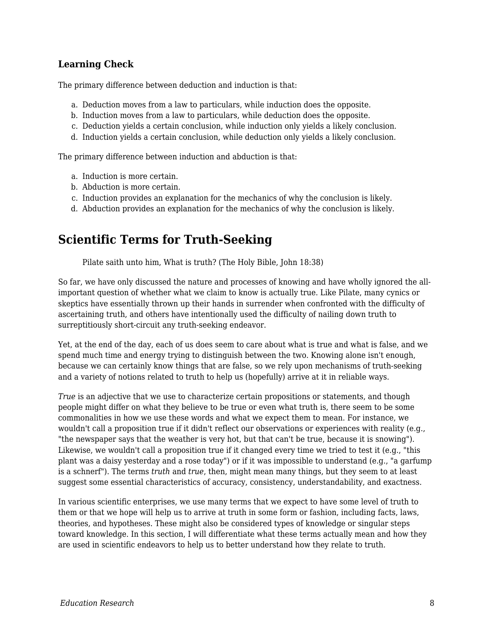#### **Learning Check**

The primary difference between deduction and induction is that:

- a. Deduction moves from a law to particulars, while induction does the opposite.
- b. Induction moves from a law to particulars, while deduction does the opposite.
- c. Deduction yields a certain conclusion, while induction only yields a likely conclusion.
- d. Induction yields a certain conclusion, while deduction only yields a likely conclusion.

The primary difference between induction and abduction is that:

- a. Induction is more certain.
- b. Abduction is more certain.
- c. Induction provides an explanation for the mechanics of why the conclusion is likely.
- d. Abduction provides an explanation for the mechanics of why the conclusion is likely.

# **Scientific Terms for Truth-Seeking**

Pilate saith unto him, What is truth? (The Holy Bible, John 18:38)

So far, we have only discussed the nature and processes of knowing and have wholly ignored the allimportant question of whether what we claim to know is actually true. Like Pilate, many cynics or skeptics have essentially thrown up their hands in surrender when confronted with the difficulty of ascertaining truth, and others have intentionally used the difficulty of nailing down truth to surreptitiously short-circuit any truth-seeking endeavor.

Yet, at the end of the day, each of us does seem to care about what is true and what is false, and we spend much time and energy trying to distinguish between the two. Knowing alone isn't enough, because we can certainly know things that are false, so we rely upon mechanisms of truth-seeking and a variety of notions related to truth to help us (hopefully) arrive at it in reliable ways.

*True* is an adjective that we use to characterize certain propositions or statements, and though people might differ on what they believe to be true or even what truth is, there seem to be some commonalities in how we use these words and what we expect them to mean. For instance, we wouldn't call a proposition true if it didn't reflect our observations or experiences with reality (e.g., "the newspaper says that the weather is very hot, but that can't be true, because it is snowing"). Likewise, we wouldn't call a proposition true if it changed every time we tried to test it (e.g., "this plant was a daisy yesterday and a rose today") or if it was impossible to understand (e.g., "a garfump is a schnerf"). The terms *truth* and *true*, then, might mean many things, but they seem to at least suggest some essential characteristics of accuracy, consistency, understandability, and exactness.

In various scientific enterprises, we use many terms that we expect to have some level of truth to them or that we hope will help us to arrive at truth in some form or fashion, including facts, laws, theories, and hypotheses. These might also be considered types of knowledge or singular steps toward knowledge. In this section, I will differentiate what these terms actually mean and how they are used in scientific endeavors to help us to better understand how they relate to truth.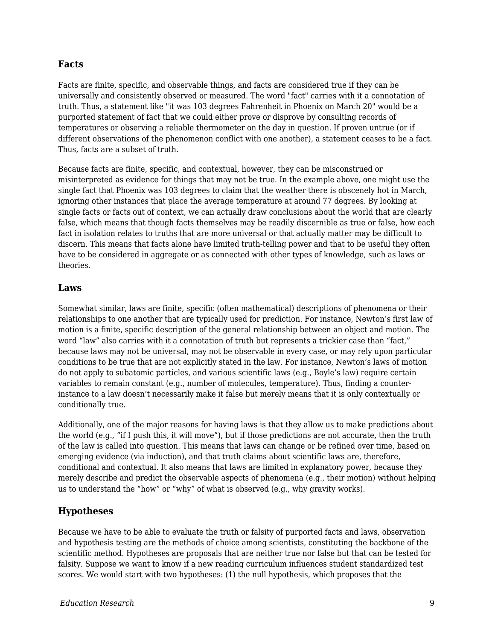#### **Facts**

Facts are finite, specific, and observable things, and facts are considered true if they can be universally and consistently observed or measured. The word "fact" carries with it a connotation of truth. Thus, a statement like "it was 103 degrees Fahrenheit in Phoenix on March 20" would be a purported statement of fact that we could either prove or disprove by consulting records of temperatures or observing a reliable thermometer on the day in question. If proven untrue (or if different observations of the phenomenon conflict with one another), a statement ceases to be a fact. Thus, facts are a subset of truth.

Because facts are finite, specific, and contextual, however, they can be misconstrued or misinterpreted as evidence for things that may not be true. In the example above, one might use the single fact that Phoenix was 103 degrees to claim that the weather there is obscenely hot in March, ignoring other instances that place the average temperature at around 77 degrees. By looking at single facts or facts out of context, we can actually draw conclusions about the world that are clearly false, which means that though facts themselves may be readily discernible as true or false, how each fact in isolation relates to truths that are more universal or that actually matter may be difficult to discern. This means that facts alone have limited truth-telling power and that to be useful they often have to be considered in aggregate or as connected with other types of knowledge, such as laws or theories.

#### **Laws**

Somewhat similar, laws are finite, specific (often mathematical) descriptions of phenomena or their relationships to one another that are typically used for prediction. For instance, Newton's first law of motion is a finite, specific description of the general relationship between an object and motion. The word "law" also carries with it a connotation of truth but represents a trickier case than "fact," because laws may not be universal, may not be observable in every case, or may rely upon particular conditions to be true that are not explicitly stated in the law. For instance, Newton's laws of motion do not apply to subatomic particles, and various scientific laws (e.g., Boyle's law) require certain variables to remain constant (e.g., number of molecules, temperature). Thus, finding a counterinstance to a law doesn't necessarily make it false but merely means that it is only contextually or conditionally true.

Additionally, one of the major reasons for having laws is that they allow us to make predictions about the world (e.g., "if I push this, it will move"), but if those predictions are not accurate, then the truth of the law is called into question. This means that laws can change or be refined over time, based on emerging evidence (via induction), and that truth claims about scientific laws are, therefore, conditional and contextual. It also means that laws are limited in explanatory power, because they merely describe and predict the observable aspects of phenomena (e.g., their motion) without helping us to understand the "how" or "why" of what is observed (e.g., why gravity works).

#### **Hypotheses**

Because we have to be able to evaluate the truth or falsity of purported facts and laws, observation and hypothesis testing are the methods of choice among scientists, constituting the backbone of the scientific method. Hypotheses are proposals that are neither true nor false but that can be tested for falsity. Suppose we want to know if a new reading curriculum influences student standardized test scores. We would start with two hypotheses: (1) the null hypothesis, which proposes that the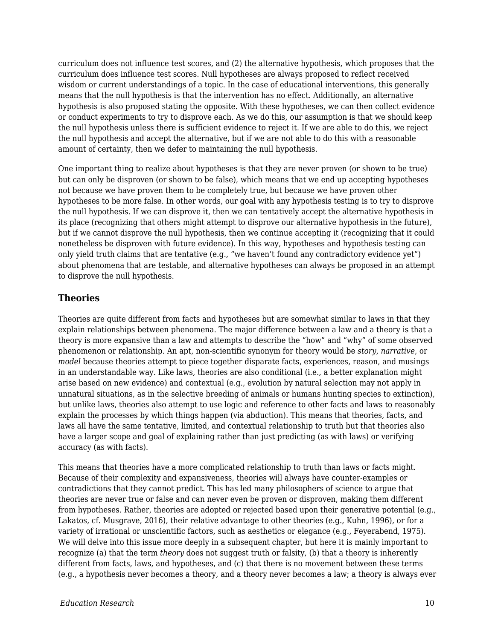curriculum does not influence test scores, and (2) the alternative hypothesis, which proposes that the curriculum does influence test scores. Null hypotheses are always proposed to reflect received wisdom or current understandings of a topic. In the case of educational interventions, this generally means that the null hypothesis is that the intervention has no effect. Additionally, an alternative hypothesis is also proposed stating the opposite. With these hypotheses, we can then collect evidence or conduct experiments to try to disprove each. As we do this, our assumption is that we should keep the null hypothesis unless there is sufficient evidence to reject it. If we are able to do this, we reject the null hypothesis and accept the alternative, but if we are not able to do this with a reasonable amount of certainty, then we defer to maintaining the null hypothesis.

One important thing to realize about hypotheses is that they are never proven (or shown to be true) but can only be disproven (or shown to be false), which means that we end up accepting hypotheses not because we have proven them to be completely true, but because we have proven other hypotheses to be more false. In other words, our goal with any hypothesis testing is to try to disprove the null hypothesis. If we can disprove it, then we can tentatively accept the alternative hypothesis in its place (recognizing that others might attempt to disprove our alternative hypothesis in the future), but if we cannot disprove the null hypothesis, then we continue accepting it (recognizing that it could nonetheless be disproven with future evidence). In this way, hypotheses and hypothesis testing can only yield truth claims that are tentative (e.g., "we haven't found any contradictory evidence yet") about phenomena that are testable, and alternative hypotheses can always be proposed in an attempt to disprove the null hypothesis.

#### **Theories**

Theories are quite different from facts and hypotheses but are somewhat similar to laws in that they explain relationships between phenomena. The major difference between a law and a theory is that a theory is more expansive than a law and attempts to describe the "how" and "why" of some observed phenomenon or relationship. An apt, non-scientific synonym for theory would be *story*, *narrative*, or *model* because theories attempt to piece together disparate facts, experiences, reason, and musings in an understandable way. Like laws, theories are also conditional (i.e., a better explanation might arise based on new evidence) and contextual (e.g., evolution by natural selection may not apply in unnatural situations, as in the selective breeding of animals or humans hunting species to extinction), but unlike laws, theories also attempt to use logic and reference to other facts and laws to reasonably explain the processes by which things happen (via abduction). This means that theories, facts, and laws all have the same tentative, limited, and contextual relationship to truth but that theories also have a larger scope and goal of explaining rather than just predicting (as with laws) or verifying accuracy (as with facts).

This means that theories have a more complicated relationship to truth than laws or facts might. Because of their complexity and expansiveness, theories will always have counter-examples or contradictions that they cannot predict. This has led many philosophers of science to argue that theories are never true or false and can never even be proven or disproven, making them different from hypotheses. Rather, theories are adopted or rejected based upon their generative potential (e.g., Lakatos, cf. Musgrave, 2016), their relative advantage to other theories (e.g., Kuhn, 1996), or for a variety of irrational or unscientific factors, such as aesthetics or elegance (e.g., Feyerabend, 1975). We will delve into this issue more deeply in a subsequent chapter, but here it is mainly important to recognize (a) that the term *theory* does not suggest truth or falsity, (b) that a theory is inherently different from facts, laws, and hypotheses, and (c) that there is no movement between these terms (e.g., a hypothesis never becomes a theory, and a theory never becomes a law; a theory is always ever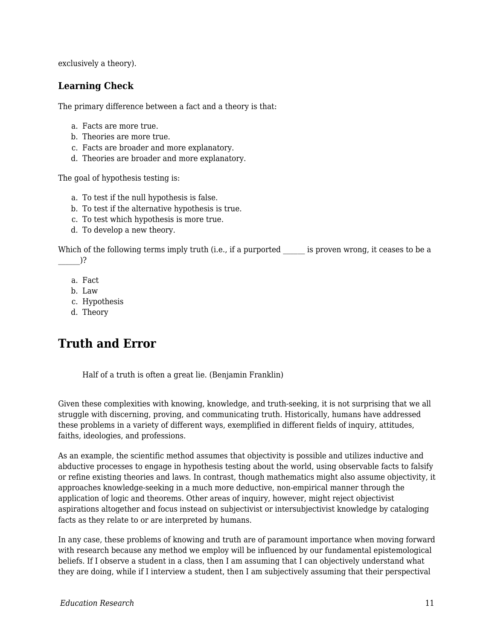exclusively a theory).

#### **Learning Check**

The primary difference between a fact and a theory is that:

- a. Facts are more true.
- b. Theories are more true.
- c. Facts are broader and more explanatory.
- d. Theories are broader and more explanatory.

The goal of hypothesis testing is:

- a. To test if the null hypothesis is false.
- b. To test if the alternative hypothesis is true.
- c. To test which hypothesis is more true.
- d. To develop a new theory.

Which of the following terms imply truth (i.e., if a purported is proven wrong, it ceases to be a  $)$ ?

- a. Fact
- b. Law
- c. Hypothesis
- d. Theory

# **Truth and Error**

Half of a truth is often a great lie. (Benjamin Franklin)

Given these complexities with knowing, knowledge, and truth-seeking, it is not surprising that we all struggle with discerning, proving, and communicating truth. Historically, humans have addressed these problems in a variety of different ways, exemplified in different fields of inquiry, attitudes, faiths, ideologies, and professions.

As an example, the scientific method assumes that objectivity is possible and utilizes inductive and abductive processes to engage in hypothesis testing about the world, using observable facts to falsify or refine existing theories and laws. In contrast, though mathematics might also assume objectivity, it approaches knowledge-seeking in a much more deductive, non-empirical manner through the application of logic and theorems. Other areas of inquiry, however, might reject objectivist aspirations altogether and focus instead on subjectivist or intersubjectivist knowledge by cataloging facts as they relate to or are interpreted by humans.

In any case, these problems of knowing and truth are of paramount importance when moving forward with research because any method we employ will be influenced by our fundamental epistemological beliefs. If I observe a student in a class, then I am assuming that I can objectively understand what they are doing, while if I interview a student, then I am subjectively assuming that their perspectival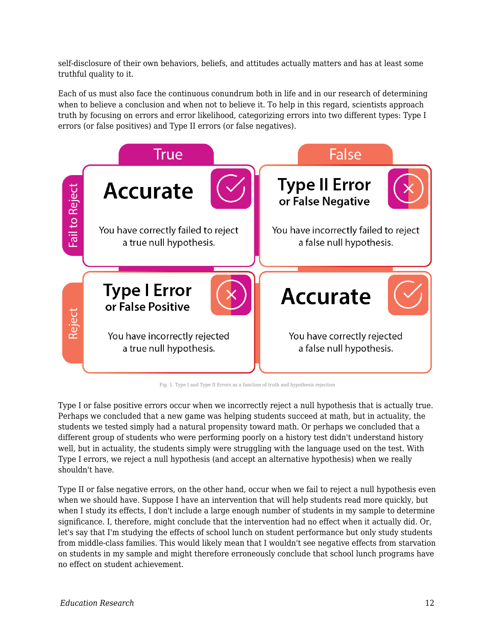self-disclosure of their own behaviors, beliefs, and attitudes actually matters and has at least some truthful quality to it.

Each of us must also face the continuous conundrum both in life and in our research of determining when to believe a conclusion and when not to believe it. To help in this regard, scientists approach truth by focusing on errors and error likelihood, categorizing errors into two different types: Type I errors (or false positives) and Type II errors (or false negatives).



Fig. 1. Type I and Type II Errors as a function of truth and hypothesis rejection

Type I or false positive errors occur when we incorrectly reject a null hypothesis that is actually true. Perhaps we concluded that a new game was helping students succeed at math, but in actuality, the students we tested simply had a natural propensity toward math. Or perhaps we concluded that a different group of students who were performing poorly on a history test didn't understand history well, but in actuality, the students simply were struggling with the language used on the test. With Type I errors, we reject a null hypothesis (and accept an alternative hypothesis) when we really shouldn't have.

Type II or false negative errors, on the other hand, occur when we fail to reject a null hypothesis even when we should have. Suppose I have an intervention that will help students read more quickly, but when I study its effects, I don't include a large enough number of students in my sample to determine significance. I, therefore, might conclude that the intervention had no effect when it actually did. Or, let's say that I'm studying the effects of school lunch on student performance but only study students from middle-class families. This would likely mean that I wouldn't see negative effects from starvation on students in my sample and might therefore erroneously conclude that school lunch programs have no effect on student achievement.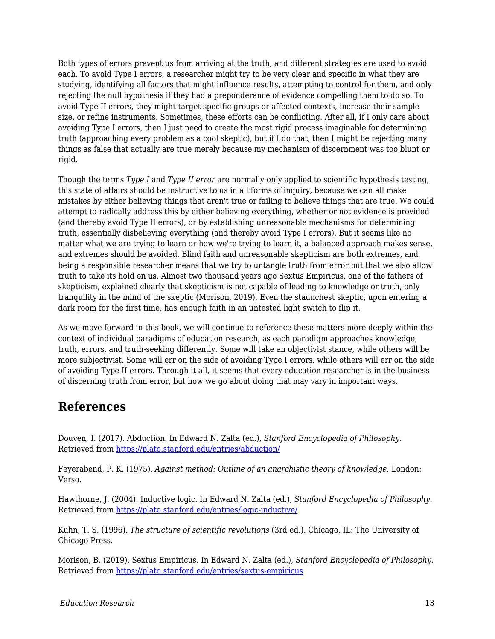Both types of errors prevent us from arriving at the truth, and different strategies are used to avoid each. To avoid Type I errors, a researcher might try to be very clear and specific in what they are studying, identifying all factors that might influence results, attempting to control for them, and only rejecting the null hypothesis if they had a preponderance of evidence compelling them to do so. To avoid Type II errors, they might target specific groups or affected contexts, increase their sample size, or refine instruments. Sometimes, these efforts can be conflicting. After all, if I only care about avoiding Type I errors, then I just need to create the most rigid process imaginable for determining truth (approaching every problem as a cool skeptic), but if I do that, then I might be rejecting many things as false that actually are true merely because my mechanism of discernment was too blunt or rigid.

Though the terms *Type I* and *Type II error* are normally only applied to scientific hypothesis testing, this state of affairs should be instructive to us in all forms of inquiry, because we can all make mistakes by either believing things that aren't true or failing to believe things that are true. We could attempt to radically address this by either believing everything, whether or not evidence is provided (and thereby avoid Type II errors), or by establishing unreasonable mechanisms for determining truth, essentially disbelieving everything (and thereby avoid Type I errors). But it seems like no matter what we are trying to learn or how we're trying to learn it, a balanced approach makes sense, and extremes should be avoided. Blind faith and unreasonable skepticism are both extremes, and being a responsible researcher means that we try to untangle truth from error but that we also allow truth to take its hold on us. Almost two thousand years ago Sextus Empiricus, one of the fathers of skepticism, explained clearly that skepticism is not capable of leading to knowledge or truth, only tranquility in the mind of the skeptic (Morison, 2019). Even the staunchest skeptic, upon entering a dark room for the first time, has enough faith in an untested light switch to flip it.

As we move forward in this book, we will continue to reference these matters more deeply within the context of individual paradigms of education research, as each paradigm approaches knowledge, truth, errors, and truth-seeking differently. Some will take an objectivist stance, while others will be more subjectivist. Some will err on the side of avoiding Type I errors, while others will err on the side of avoiding Type II errors. Through it all, it seems that every education researcher is in the business of discerning truth from error, but how we go about doing that may vary in important ways.

# **References**

Douven, I. (2017). Abduction. In Edward N. Zalta (ed.), *Stanford Encyclopedia of Philosophy*. Retrieved from <https://plato.stanford.edu/entries/abduction/>

Feyerabend, P. K. (1975). *Against method: Outline of an anarchistic theory of knowledge*. London: Verso.

Hawthorne, J. (2004). Inductive logic. In Edward N. Zalta (ed.), *Stanford Encyclopedia of Philosophy*. Retrieved from <https://plato.stanford.edu/entries/logic-inductive/>

Kuhn, T. S. (1996). *The structure of scientific revolutions* (3rd ed.). Chicago, IL: The University of Chicago Press.

Morison, B. (2019). Sextus Empiricus. In Edward N. Zalta (ed.), *Stanford Encyclopedia of Philosophy*. Retrieved from <https://plato.stanford.edu/entries/sextus-empiricus>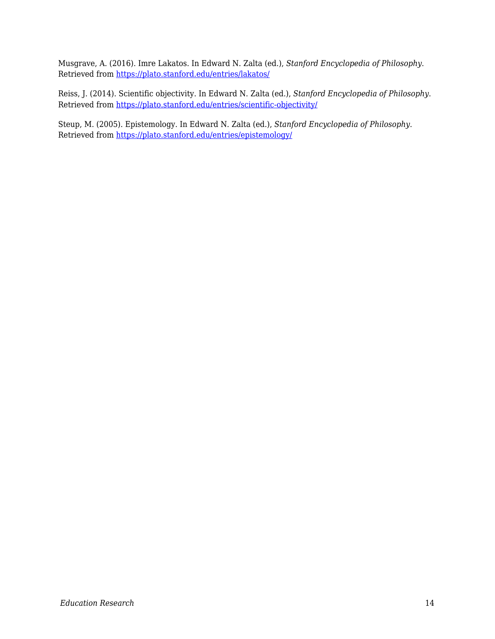Musgrave, A. (2016). Imre Lakatos. In Edward N. Zalta (ed.), *Stanford Encyclopedia of Philosophy*. Retrieved from <https://plato.stanford.edu/entries/lakatos/>

Reiss, J. (2014). Scientific objectivity. In Edward N. Zalta (ed.), *Stanford Encyclopedia of Philosophy*. Retrieved from <https://plato.stanford.edu/entries/scientific-objectivity/>

Steup, M. (2005). Epistemology. In Edward N. Zalta (ed.), *Stanford Encyclopedia of Philosophy*. Retrieved from <https://plato.stanford.edu/entries/epistemology/>